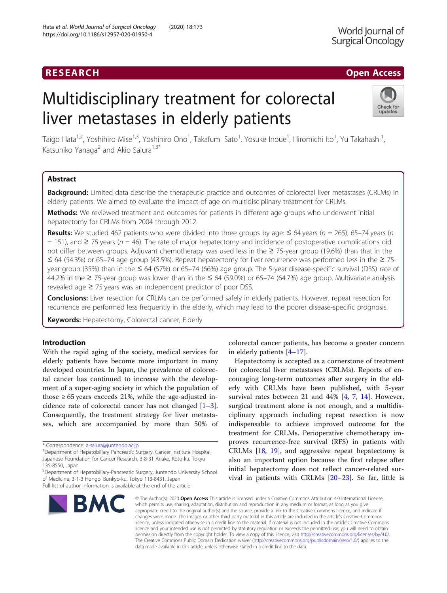# **RESEARCH CHINESEARCH CHINESEARCH CHINESEARCH**

# Multidisciplinary treatment for colorectal liver metastases in elderly patients



Taigo Hata<sup>1,2</sup>, Yoshihiro Mise<sup>1,3</sup>, Yoshihiro Ono<sup>1</sup>, Takafumi Sato<sup>1</sup>, Yosuke Inoue<sup>1</sup>, Hiromichi Ito<sup>1</sup>, Yu Takahashi<sup>1</sup> , Katsuhiko Yanaga<sup>2</sup> and Akio Saiura<sup>1,3\*</sup>

# Abstract

Background: Limited data describe the therapeutic practice and outcomes of colorectal liver metastases (CRLMs) in elderly patients. We aimed to evaluate the impact of age on multidisciplinary treatment for CRLMs.

Methods: We reviewed treatment and outcomes for patients in different age groups who underwent initial hepatectomy for CRLMs from 2004 through 2012.

Results: We studied 462 patients who were divided into three groups by age:  $\leq$  64 years (n = 265), 65–74 years (n  $= 151$ ), and  $\geq 75$  years (n = 46). The rate of major hepatectomy and incidence of postoperative complications did not differ between groups. Adjuvant chemotherapy was used less in the ≥ 75-year group (19.6%) than that in the ≤ 64 (54.3%) or 65–74 age group (43.5%). Repeat hepatectomy for liver recurrence was performed less in the ≥ 75 year group (35%) than in the ≤ 64 (57%) or 65–74 (66%) age group. The 5-year disease-specific survival (DSS) rate of 44.2% in the ≥ 75-year group was lower than in the ≤ 64 (59.0%) or 65–74 (64.7%) age group. Multivariate analysis revealed age  $\geq$  75 years was an independent predictor of poor DSS.

Conclusions: Liver resection for CRLMs can be performed safely in elderly patients. However, repeat resection for recurrence are performed less frequently in the elderly, which may lead to the poorer disease-specific prognosis.

Keywords: Hepatectomy, Colorectal cancer, Elderly

# Introduction

With the rapid aging of the society, medical services for elderly patients have become more important in many developed countries. In Japan, the prevalence of colorectal cancer has continued to increase with the development of a super-aging society in which the population of those  $\geq 65$  years exceeds 21%, while the age-adjusted incidence rate of colorectal cancer has not changed [\[1](#page-6-0)–[3](#page-6-0)]. Consequently, the treatment strategy for liver metastases, which are accompanied by more than 50% of

BMC

colorectal cancer patients, has become a greater concern in elderly patients [[4](#page-6-0)–[17\]](#page-7-0).

Hepatectomy is accepted as a cornerstone of treatment for colorectal liver metastases (CRLMs). Reports of encouraging long-term outcomes after surgery in the elderly with CRLMs have been published, with 5-year survival rates between 21 and 44% [\[4](#page-6-0), [7](#page-7-0), [14\]](#page-7-0). However, surgical treatment alone is not enough, and a multidisciplinary approach including repeat resection is now indispensable to achieve improved outcome for the treatment for CRLMs. Perioperative chemotherapy improves recurrence-free survival (RFS) in patients with CRLMs [[18](#page-7-0), [19](#page-7-0)], and aggressive repeat hepatectomy is also an important option because the first relapse after initial hepatectomy does not reflect cancer-related survival in patients with CRLMs [\[20](#page-7-0)–[23\]](#page-7-0). So far, little is

© The Author(s), 2020 **Open Access** This article is licensed under a Creative Commons Attribution 4.0 International License, which permits use, sharing, adaptation, distribution and reproduction in any medium or format, as long as you give appropriate credit to the original author(s) and the source, provide a link to the Creative Commons licence, and indicate if changes were made. The images or other third party material in this article are included in the article's Creative Commons licence, unless indicated otherwise in a credit line to the material. If material is not included in the article's Creative Commons licence and your intended use is not permitted by statutory regulation or exceeds the permitted use, you will need to obtain permission directly from the copyright holder. To view a copy of this licence, visit [http://creativecommons.org/licenses/by/4.0/.](http://creativecommons.org/licenses/by/4.0/) The Creative Commons Public Domain Dedication waiver [\(http://creativecommons.org/publicdomain/zero/1.0/](http://creativecommons.org/publicdomain/zero/1.0/)) applies to the data made available in this article, unless otherwise stated in a credit line to the data.

<sup>\*</sup> Correspondence: [a-saiura@juntendo.ac.jp](mailto:a-saiura@juntendo.ac.jp) <sup>1</sup>

<sup>&</sup>lt;sup>1</sup>Department of Hepatobiliary Pancreatic Surgery, Cancer Institute Hospital, Japanese Foundation for Cancer Research, 3-8-31 Ariake, Koto-ku, Tokyo 135-8550, Japan

<sup>&</sup>lt;sup>3</sup>Department of Hepatobiliary-Pancreatic Surgery, Juntendo University School of Medicine, 3-1-3 Hongo, Bunkyo-ku, Tokyo 113-8431, Japan Full list of author information is available at the end of the article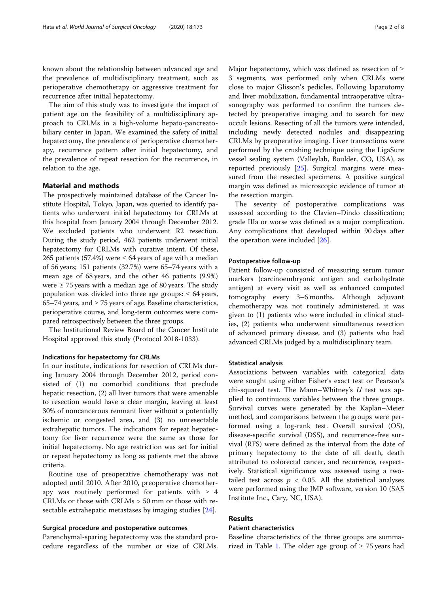known about the relationship between advanced age and the prevalence of multidisciplinary treatment, such as perioperative chemotherapy or aggressive treatment for recurrence after initial hepatectomy.

The aim of this study was to investigate the impact of patient age on the feasibility of a multidisciplinary approach to CRLMs in a high-volume hepato-pancreatobiliary center in Japan. We examined the safety of initial hepatectomy, the prevalence of perioperative chemotherapy, recurrence pattern after initial hepatectomy, and the prevalence of repeat resection for the recurrence, in relation to the age.

### Material and methods

The prospectively maintained database of the Cancer Institute Hospital, Tokyo, Japan, was queried to identify patients who underwent initial hepatectomy for CRLMs at this hospital from January 2004 through December 2012. We excluded patients who underwent R2 resection. During the study period, 462 patients underwent initial hepatectomy for CRLMs with curative intent. Of these, 265 patients (57.4%) were  $\leq$  64 years of age with a median of 56 years; 151 patients (32.7%) were 65–74 years with a mean age of 68 years, and the other 46 patients (9.9%) were  $\geq$  75 years with a median age of 80 years. The study population was divided into three age groups:  $\leq 64$  years, 65–74 years, and  $\geq$  75 years of age. Baseline characteristics, perioperative course, and long-term outcomes were compared retrospectively between the three groups.

The Institutional Review Board of the Cancer Institute Hospital approved this study (Protocol 2018-1033).

#### Indications for hepatectomy for CRLMs

In our institute, indications for resection of CRLMs during January 2004 through December 2012, period consisted of (1) no comorbid conditions that preclude hepatic resection, (2) all liver tumors that were amenable to resection would have a clear margin, leaving at least 30% of noncancerous remnant liver without a potentially ischemic or congested area, and (3) no unresectable extrahepatic tumors. The indications for repeat hepatectomy for liver recurrence were the same as those for initial hepatectomy. No age restriction was set for initial or repeat hepatectomy as long as patients met the above criteria.

Routine use of preoperative chemotherapy was not adopted until 2010. After 2010, preoperative chemotherapy was routinely performed for patients with  $\geq 4$ CRLMs or those with CRLMs > 50 mm or those with resectable extrahepatic metastases by imaging studies [\[24](#page-7-0)].

#### Surgical procedure and postoperative outcomes

Parenchymal-sparing hepatectomy was the standard procedure regardless of the number or size of CRLMs. Major hepatectomy, which was defined as resection of  $\geq$ 3 segments, was performed only when CRLMs were close to major Glisson's pedicles. Following laparotomy and liver mobilization, fundamental intraoperative ultrasonography was performed to confirm the tumors detected by preoperative imaging and to search for new occult lesions. Resecting of all the tumors were intended, including newly detected nodules and disappearing CRLMs by preoperative imaging. Liver transections were performed by the crushing technique using the LigaSure vessel sealing system (Valleylab, Boulder, CO, USA), as reported previously [[25](#page-7-0)]. Surgical margins were measured from the resected specimens. A positive surgical margin was defined as microscopic evidence of tumor at the resection margin.

The severity of postoperative complications was assessed according to the Clavien–Dindo classification; grade IIIa or worse was defined as a major complication. Any complications that developed within 90 days after the operation were included [[26\]](#page-7-0).

#### Postoperative follow-up

Patient follow-up consisted of measuring serum tumor markers (carcinoembryonic antigen and carbohydrate antigen) at every visit as well as enhanced computed tomography every 3–6 months. Although adjuvant chemotherapy was not routinely administered, it was given to (1) patients who were included in clinical studies, (2) patients who underwent simultaneous resection of advanced primary disease, and (3) patients who had advanced CRLMs judged by a multidisciplinary team.

#### Statistical analysis

Associations between variables with categorical data were sought using either Fisher's exact test or Pearson's chi-squared test. The Mann–Whitney's U test was applied to continuous variables between the three groups. Survival curves were generated by the Kaplan–Meier method, and comparisons between the groups were performed using a log-rank test. Overall survival (OS), disease-specific survival (DSS), and recurrence-free survival (RFS) were defined as the interval from the date of primary hepatectomy to the date of all death, death attributed to colorectal cancer, and recurrence, respectively. Statistical significance was assessed using a twotailed test across  $p < 0.05$ . All the statistical analyses were performed using the JMP software, version 10 (SAS Institute Inc., Cary, NC, USA).

### Results

## Patient characteristics

Baseline characteristics of the three groups are summa-rized in Table [1.](#page-2-0) The older age group of  $\geq$  75 years had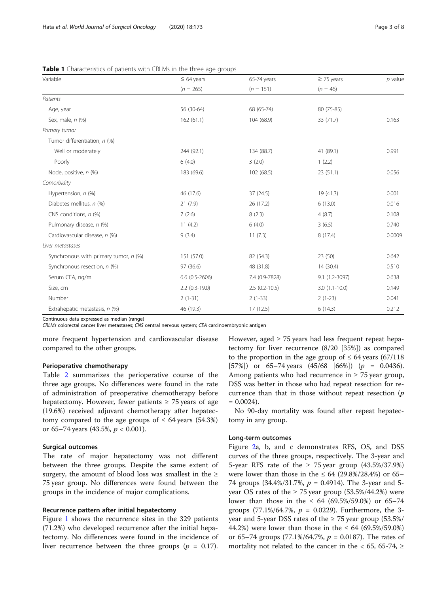<span id="page-2-0"></span>

|  | Table 1 Characteristics of patients with CRLMs in the three age groups |  |  |  |  |
|--|------------------------------------------------------------------------|--|--|--|--|
|  |                                                                        |  |  |  |  |

| Variable                              | $\leq 64$ years  | 65-74 years     | $\geq$ 75 years | $p$ value |
|---------------------------------------|------------------|-----------------|-----------------|-----------|
|                                       | $(n = 265)$      | $(n = 151)$     | $(n = 46)$      |           |
| Patients                              |                  |                 |                 |           |
| Age, year                             | 56 (30-64)       | 68 (65-74)      | 80 (75-85)      |           |
| Sex, male, n (%)                      | 162(61.1)        | 104 (68.9)      | 33 (71.7)       | 0.163     |
| Primary tumor                         |                  |                 |                 |           |
| Tumor differentiation, n (%)          |                  |                 |                 |           |
| Well or moderately                    | 244 (92.1)       | 134 (88.7)      | 41 (89.1)       | 0.991     |
| Poorly                                | 6(4.0)           | 3(2.0)          | 1(2.2)          |           |
| Node, positive, n (%)                 | 183 (69.6)       | 102 (68.5)      | 23(51.1)        | 0.056     |
| Comorbidity                           |                  |                 |                 |           |
| Hypertension, n (%)                   | 46 (17.6)        | 37 (24.5)       | 19(41.3)        | 0.001     |
| Diabetes mellitus, n (%)              | 21(7.9)          | 26 (17.2)       | 6(13.0)         | 0.016     |
| CNS conditions, n (%)                 | 7(2.6)           | 8(2.3)          | 4(8.7)          | 0.108     |
| Pulmonary disease, n (%)              | 11(4.2)          | 6(4.0)          | 3(6.5)          | 0.740     |
| Cardiovascular disease, n (%)         | 9(3.4)           | 11(7.3)         | 8 (17.4)        | 0.0009    |
| Liver metastases                      |                  |                 |                 |           |
| Synchronous with primary tumor, n (%) | 151 (57.0)       | 82 (54.3)       | 23(50)          | 0.642     |
| Synchronous resection, n (%)          | 97 (36.6)        | 48 (31.8)       | 14(30.4)        | 0.510     |
| Serum CEA, ng/mL                      | $6.6$ (0.5-2606) | 7.4 (0.9-7828)  | 9.1 (1.2-3097)  | 0.638     |
| Size, cm                              | $2.2$ (0.3-19.0) | $2.5(0.2-10.5)$ | $3.0(1.1-10.0)$ | 0.149     |
| Number                                | $2(1-31)$        | $2(1-33)$       | $2(1-23)$       | 0.041     |
| Extrahepatic metastasis, n (%)        | 46 (19.3)        | 17(12.5)        | 6(14.3)         | 0.212     |

Continuous data expressed as median (range)

CRLMs colorectal cancer liver metastases; CNS central nervous system; CEA carcinoembryonic antigen

more frequent hypertension and cardiovascular disease compared to the other groups.

#### Perioperative chemotherapy

Table [2](#page-3-0) summarizes the perioperative course of the three age groups. No differences were found in the rate of administration of preoperative chemotherapy before hepatectomy. However, fewer patients  $\geq$  75 years of age (19.6%) received adjuvant chemotherapy after hepatectomy compared to the age groups of  $\leq 64$  years (54.3%) or 65–74 years (43.5%,  $p < 0.001$ ).

#### Surgical outcomes

The rate of major hepatectomy was not different between the three groups. Despite the same extent of surgery, the amount of blood loss was smallest in the  $\ge$ 75 year group. No differences were found between the groups in the incidence of major complications.

#### Recurrence pattern after initial hepatectomy

Figure [1](#page-3-0) shows the recurrence sites in the 329 patients (71.2%) who developed recurrence after the initial hepatectomy. No differences were found in the incidence of liver recurrence between the three groups ( $p = 0.17$ ).

However, aged  $\geq$  75 years had less frequent repeat hepatectomy for liver recurrence (8/20 [35%]) as compared to the proportion in the age group of  $\leq 64$  years (67/118) [57%]) or 65–74 years  $(45/68 \text{ [66%])}$  ( $p = 0.0436$ ). Among patients who had recurrence in  $\geq$  75 year group, DSS was better in those who had repeat resection for recurrence than that in those without repeat resection  $(p)$  $= 0.0024$ .

No 90-day mortality was found after repeat hepatectomy in any group.

#### Long-term outcomes

Figure [2a](#page-4-0), b, and c demonstrates RFS, OS, and DSS curves of the three groups, respectively. The 3-year and 5-year RFS rate of the  $\geq 75$  year group (43.5%/37.9%) were lower than those in the  $\leq 64$  (29.8%/28.4%) or 65– 74 groups  $(34.4\%/31.7\%)$ ,  $p = 0.4914$ ). The 3-year and 5year OS rates of the  $\geq$  75 year group (53.5%/44.2%) were lower than those in the  $\leq 64$  (69.5%/59.0%) or 65–74 groups (77.1%/64.7%,  $p = 0.0229$ ). Furthermore, the 3year and 5-year DSS rates of the  $\geq$  75 year group (53.5%/ 44.2%) were lower than those in the  $\leq 64$  (69.5%/59.0%) or 65–74 groups (77.1%/64.7%,  $p = 0.0187$ ). The rates of mortality not related to the cancer in the < 65, 65-74,  $\ge$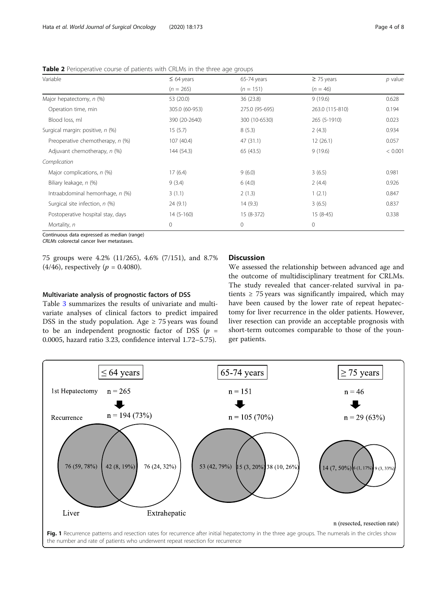<span id="page-3-0"></span>Table 2 Perioperative course of patients with CRLMs in the three age groups

| Variable                          | $\leq 64$ years | 65-74 years    | $\geq$ 75 years | $p$ value |
|-----------------------------------|-----------------|----------------|-----------------|-----------|
|                                   | $(n = 265)$     | $(n = 151)$    | $(n = 46)$      |           |
| Major hepatectomy, n (%)          | 53 (20.0)       | 36 (23.8)      | 9(19.6)         | 0.628     |
| Operation time, min               | 305.0 (60-953)  | 275.0 (95-695) | 263.0 (115-810) | 0.194     |
| Blood loss, ml                    | 390 (20-2640)   | 300 (10-6530)  | 265 (5-1910)    | 0.023     |
| Surgical margin: positive, n (%)  | 15(5.7)         | 8(5.3)         | 2(4.3)          | 0.934     |
| Preoperative chemotherapy, n (%)  | 107(40.4)       | 47 (31.1)      | 12(26.1)        | 0.057     |
| Adjuvant chemotherapy, n (%)      | 144 (54.3)      | 65 (43.5)      | 9(19.6)         | < 0.001   |
| Complication                      |                 |                |                 |           |
| Major complications, n (%)        | 17(6.4)         | 9(6.0)         | 3(6.5)          | 0.981     |
| Biliary leakage, n (%)            | 9(3.4)          | 6(4.0)         | 2(4.4)          | 0.926     |
| Intraabdominal hemorrhage, n (%)  | 3(1.1)          | 2(1.3)         | 1(2.1)          | 0.847     |
| Surgical site infection, n (%)    | 24(9.1)         | 14(9.3)        | 3(6.5)          | 0.837     |
| Postoperative hospital stay, days | $14(5-160)$     | 15 (8-372)     | $15(8-45)$      | 0.338     |
| Mortality, n                      | $\mathbf 0$     | 0              | 0               |           |

Continuous data expressed as median (range)

CRLMs colorectal cancer liver metastases.

75 groups were 4.2% (11/265), 4.6% (7/151), and 8.7%  $(4/46)$ , respectively  $(p = 0.4080)$ .

# Multivariate analysis of prognostic factors of DSS

Table [3](#page-5-0) summarizes the results of univariate and multivariate analyses of clinical factors to predict impaired DSS in the study population. Age  $\geq$  75 years was found to be an independent prognostic factor of DSS  $(p =$ 0.0005, hazard ratio 3.23, confidence interval 1.72–5.75).

# Discussion

We assessed the relationship between advanced age and the outcome of multidisciplinary treatment for CRLMs. The study revealed that cancer-related survival in patients  $\geq$  75 years was significantly impaired, which may have been caused by the lower rate of repeat hepatectomy for liver recurrence in the older patients. However, liver resection can provide an acceptable prognosis with short-term outcomes comparable to those of the younger patients.

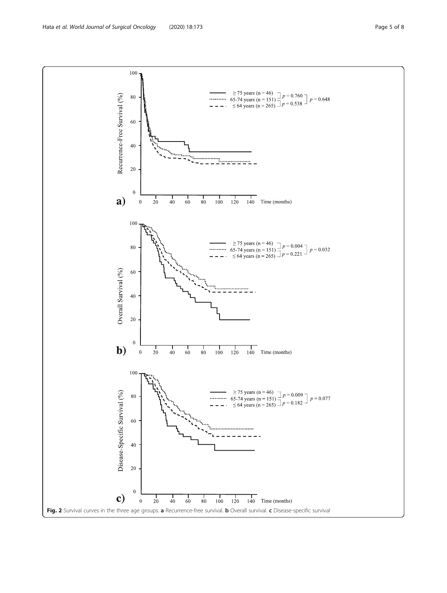<span id="page-4-0"></span>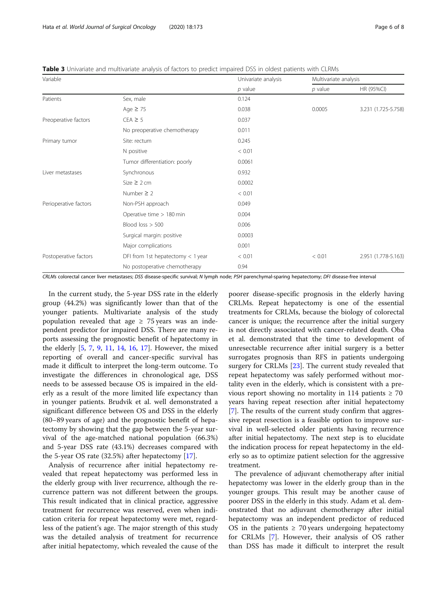<span id="page-5-0"></span>Table 3 Univariate and multivariate analysis of factors to predict impaired DSS in oldest patients with CLRMs

| Variable              |                                     | Univariate analysis | Multivariate analysis |                     |  |
|-----------------------|-------------------------------------|---------------------|-----------------------|---------------------|--|
|                       |                                     | $p$ value           | $p$ value             | HR (95%CI)          |  |
| Patients              | Sex, male                           | 0.124               |                       |                     |  |
|                       | Age $\geq 75$                       | 0.038               | 0.0005                | 3.231 (1.725-5.758) |  |
| Preoperative factors  | $CEA \geq 5$                        | 0.037               |                       |                     |  |
|                       | No preoperative chemotherapy        | 0.011               |                       |                     |  |
| Primary tumor         | Site: rectum                        | 0.245               |                       |                     |  |
|                       | N positive                          | < 0.01              |                       |                     |  |
|                       | Tumor differentiation: poorly       | 0.0061              |                       |                     |  |
| Liver metastases      | Synchronous                         | 0.932               |                       |                     |  |
|                       | Size $\geq 2$ cm                    | 0.0002              |                       |                     |  |
|                       | Number $\geq$ 2                     | < 0.01              |                       |                     |  |
| Perioperative factors | Non-PSH approach                    | 0.049               |                       |                     |  |
|                       | Operative time > 180 min            | 0.004               |                       |                     |  |
|                       | Blood loss $> 500$                  | 0.006               |                       |                     |  |
|                       | Surgical margin: positive           | 0.0003              |                       |                     |  |
|                       | Major complications                 | 0.001               |                       |                     |  |
| Postoperative factors | DFI from 1st hepatectomy $<$ 1 year | < 0.01              | < 0.01                | 2.951 (1.778-5.163) |  |
|                       | No postoperative chemotherapy       | 0.94                |                       |                     |  |

CRLMs colorectal cancer liver metastases; DSS disease-specific survival; N lymph node; PSH parenchymal-sparing hepatectomy; DFI disease-free interval

In the current study, the 5-year DSS rate in the elderly group (44.2%) was significantly lower than that of the younger patients. Multivariate analysis of the study population revealed that age  $\geq$  75 years was an independent predictor for impaired DSS. There are many reports assessing the prognostic benefit of hepatectomy in the elderly [[5](#page-6-0), [7](#page-7-0), [9](#page-7-0), [11,](#page-7-0) [14,](#page-7-0) [16](#page-7-0), [17](#page-7-0)]. However, the mixed reporting of overall and cancer-specific survival has made it difficult to interpret the long-term outcome. To investigate the differences in chronological age, DSS needs to be assessed because OS is impaired in the elderly as a result of the more limited life expectancy than in younger patients. Brudvik et al. well demonstrated a significant difference between OS and DSS in the elderly (80–89 years of age) and the prognostic benefit of hepatectomy by showing that the gap between the 5-year survival of the age-matched national population (66.3%) and 5-year DSS rate (43.1%) decreases compared with the 5-year OS rate (32.5%) after hepatectomy [[17\]](#page-7-0).

Analysis of recurrence after initial hepatectomy revealed that repeat hepatectomy was performed less in the elderly group with liver recurrence, although the recurrence pattern was not different between the groups. This result indicated that in clinical practice, aggressive treatment for recurrence was reserved, even when indication criteria for repeat hepatectomy were met, regardless of the patient's age. The major strength of this study was the detailed analysis of treatment for recurrence after initial hepatectomy, which revealed the cause of the poorer disease-specific prognosis in the elderly having CRLMs. Repeat hepatectomy is one of the essential treatments for CRLMs, because the biology of colorectal cancer is unique; the recurrence after the initial surgery is not directly associated with cancer-related death. Oba et al. demonstrated that the time to development of unresectable recurrence after initial surgery is a better surrogates prognosis than RFS in patients undergoing surgery for CRLMs [[23\]](#page-7-0). The current study revealed that repeat hepatectomy was safely performed without mortality even in the elderly, which is consistent with a previous report showing no mortality in 114 patients  $\geq 70$ years having repeat resection after initial hepatectomy [[7\]](#page-7-0). The results of the current study confirm that aggressive repeat resection is a feasible option to improve survival in well-selected older patients having recurrence after initial hepatectomy. The next step is to elucidate the indication process for repeat hepatectomy in the elderly so as to optimize patient selection for the aggressive treatment.

The prevalence of adjuvant chemotherapy after initial hepatectomy was lower in the elderly group than in the younger groups. This result may be another cause of poorer DSS in the elderly in this study. Adam et al. demonstrated that no adjuvant chemotherapy after initial hepatectomy was an independent predictor of reduced OS in the patients  $\geq 70$  years undergoing hepatectomy for CRLMs [\[7](#page-7-0)]. However, their analysis of OS rather than DSS has made it difficult to interpret the result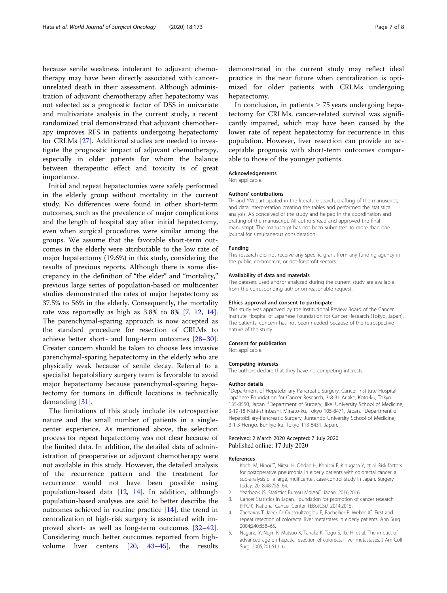<span id="page-6-0"></span>because senile weakness intolerant to adjuvant chemotherapy may have been directly associated with cancerunrelated death in their assessment. Although administration of adjuvant chemotherapy after hepatectomy was not selected as a prognostic factor of DSS in univariate and multivariate analysis in the current study, a recent randomized trial demonstrated that adjuvant chemotherapy improves RFS in patients undergoing hepatectomy for CRLMs [\[27](#page-7-0)]. Additional studies are needed to investigate the prognostic impact of adjuvant chemotherapy, especially in older patients for whom the balance between therapeutic effect and toxicity is of great importance.

Initial and repeat hepatectomies were safely performed in the elderly group without mortality in the current study. No differences were found in other short-term outcomes, such as the prevalence of major complications and the length of hospital stay after initial hepatectomy, even when surgical procedures were similar among the groups. We assume that the favorable short-term outcomes in the elderly were attributable to the low rate of major hepatectomy (19.6%) in this study, considering the results of previous reports. Although there is some discrepancy in the definition of "the elder" and "mortality," previous large series of population-based or multicenter studies demonstrated the rates of major hepatectomy as 37.5% to 56% in the elderly. Consequently, the mortality rate was reportedly as high as 3.8% to 8% [\[7](#page-7-0), [12,](#page-7-0) [14](#page-7-0)]. The parenchymal-sparing approach is now accepted as the standard procedure for resection of CRLMs to achieve better short- and long-term outcomes [[28](#page-7-0)–[30](#page-7-0)]. Greater concern should be taken to choose less invasive parenchymal-sparing hepatectomy in the elderly who are physically weak because of senile decay. Referral to a specialist hepatobiliary surgery team is favorable to avoid major hepatectomy because parenchymal-sparing hepatectomy for tumors in difficult locations is technically demanding [\[31](#page-7-0)].

The limitations of this study include its retrospective nature and the small number of patients in a singlecenter experience. As mentioned above, the selection process for repeat hepatectomy was not clear because of the limited data. In addition, the detailed data of administration of preoperative or adjuvant chemotherapy were not available in this study. However, the detailed analysis of the recurrence pattern and the treatment for recurrence would not have been possible using population-based data [\[12](#page-7-0), [14](#page-7-0)]. In addition, although population-based analyses are said to better describe the outcomes achieved in routine practice [\[14\]](#page-7-0), the trend in centralization of high-risk surgery is associated with improved short- as well as long-term outcomes [[32](#page-7-0)–[42](#page-7-0)]. Considering much better outcomes reported from highvolume liver centers [[20](#page-7-0), [43](#page-7-0)–[45\]](#page-7-0), the results

demonstrated in the current study may reflect ideal practice in the near future when centralization is optimized for older patients with CRLMs undergoing hepatectomy.

In conclusion, in patients  $\geq$  75 years undergoing hepatectomy for CRLMs, cancer-related survival was significantly impaired, which may have been caused by the lower rate of repeat hepatectomy for recurrence in this population. However, liver resection can provide an acceptable prognosis with short-term outcomes comparable to those of the younger patients.

#### Acknowledgements

Not applicable.

#### Authors' contributions

TH and YM participated in the literature search, drafting of the manuscript, and data interpretation creating the tables and performed the statistical analysis. AS conceived of the study and helped in the coordination and drafting of the manuscript. All authors read and approved the final manuscript. The manuscript has not been submitted to more than one journal for simultaneous consideration.

#### Funding

This research did not receive any specific grant from any funding agency in the public, commercial, or not-for-profit sectors.

#### Availability of data and materials

The datasets used and/or analyzed during the current study are available from the corresponding author on reasonable request.

#### Ethics approval and consent to participate

This study was approved by the Institutional Review Board of the Cancer Institute Hospital of Japanese Foundation for Cancer Research (Tokyo, Japan). The patients' concern has not been needed because of the retrospective nature of the study.

#### Consent for publication

Not applicable.

#### Competing interests

The authors declare that they have no competing interests.

#### Author details

<sup>1</sup>Department of Hepatobiliary Pancreatic Surgery, Cancer Institute Hospital Japanese Foundation for Cancer Research, 3-8-31 Ariake, Koto-ku, Tokyo 135-8550, Japan. <sup>2</sup>Department of Surgery, Jikei University School of Medicine, 3-19-18 Nishi-shinbashi, Minato-ku, Tokyo 105-8471, Japan. <sup>3</sup>Department of Hepatobiliary-Pancreatic Surgery, Juntendo University School of Medicine, 3-1-3 Hongo, Bunkyo-ku, Tokyo 113-8431, Japan.

#### Received: 2 March 2020 Accepted: 7 July 2020 Published online: 17 July 2020

#### References

- Kochi M, Hinoi T, Niitsu H, Ohdan H, Konishi F, Kinugasa Y, et al. Risk factors for postoperative pneumonia in elderly patients with colorectal cancer: a sub-analysis of a large, multicenter, case-control study in Japan. Surgery today. 2018;48:756–64.
- 2. Yearbook JS. Statistics Bureau MoIAaC. Japan. 2016;2016.
- 3. Cancer Statistics in Japan. Foundation for promotion of cancer research (FPCR). National Cancer Center TEBotCSiJ. 2014;2015.
- 4. Zacharias T, Jaeck D, Oussoultzoglou E, Bachellier P, Weber JC. First and repeat resection of colorectal liver metastases in elderly patients. Ann Surg. 2004;240:858–65.
- 5. Nagano Y, Nojiri K, Matsuo K, Tanaka K, Togo S, Ike H, et al. The impact of advanced age on hepatic resection of colorectal liver metastases. J Am Coll Surg. 2005;201:511–6.